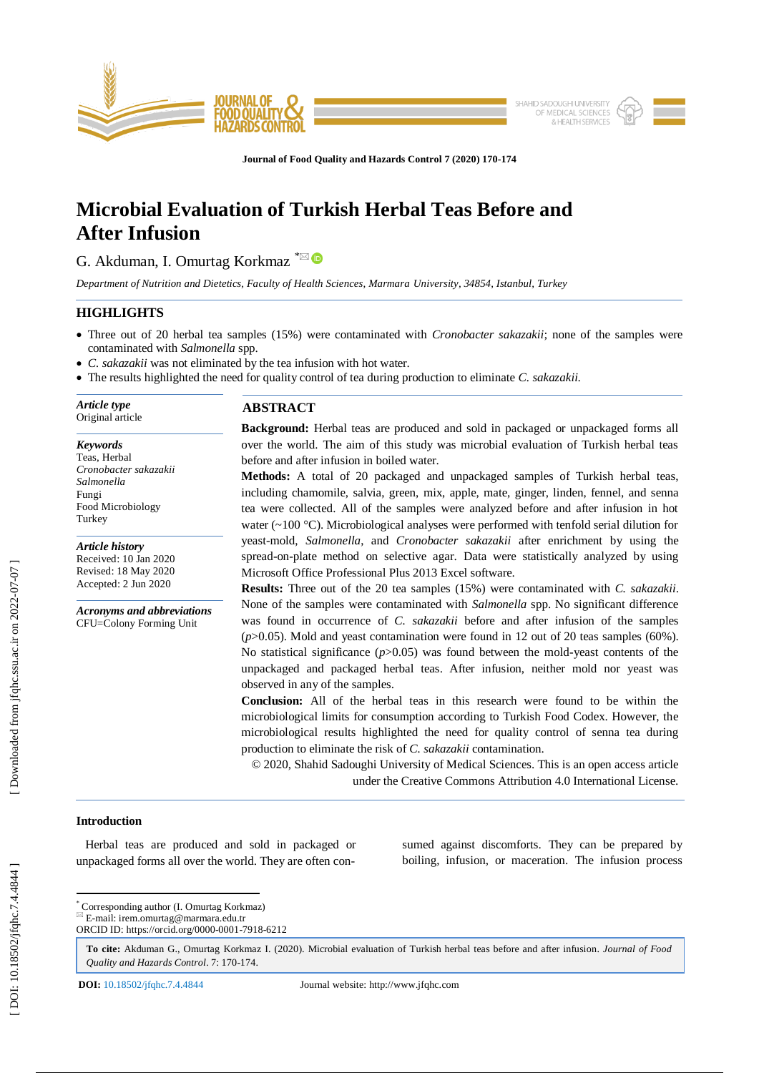

**Journal of Food Quality and Hazards Control 7 (2020) 170 - 174**

# **Microbial Evaluation of Turkish Herbal Teas Before and After Infusion**

G. Akduman, I. Omurtag Korkmaz <sup>\*⊠</sup>

*Department of Nutrition and Dietetics, Faculty of Health Sciences, Marmara University, 34854, Istanbul, Turkey*

# **HIGHLIGHTS**

- Three out of 20 herbal tea samples (15%) were contaminated with *Cronobacter sakazakii*; none of the samples were contaminated with *Salmonella* spp.
- *C . sakazakii* was not eliminated by the tea infusion with hot water.
- The results highlighted the need for quality control of tea during production to eliminate *C. sakazakii* .

*Article type* Original article

*Keywords* Teas, Herbal *Cronobacter sakazakii Salmonella* Fungi Food Microbiology Turkey

*Article history* Received: 10 Jan 2020 Revised: 18 May 2020 Accepted: 2 Jun 2020

*Acronyms and abbreviations* CFU=Colony Forming Unit

# **ABSTRACT**

**Background:** Herbal teas are produced and sold in packaged or unpackaged form s all over the world. The aim of this study was microbial evaluation of Turkish herbal teas before and after infusion in boiled water.

**Methods:** A total of 20 packaged and unpackaged samples of Turkish herbal teas, including chamomile, salvia, green, mix, apple, mate, ginger, linden, fennel, and senna tea were collected. All of the samples were analyzed before and after infusion in hot water  $(\sim 100 \degree C)$ . Microbiological analyses were performed with tenfold serial dilution for yeast -mold, *Salmonella*, and *Cronobacter sakazakii* after enrichment by using the spread -on -plate method on selective agar. Data were statistically analyzed by using Microsoft Office Professional Plus 2013 Excel software.

**Results:** Three out of the 20 tea samples (15%) were contaminated with *C. sakazakii*. None of the samples were contaminated with *Salmonella* spp. No significant difference was found in occurrence of *C. sakazakii* before and after infusion of the samples (*p*>0.05). Mold and yeast contamination were found in 12 out of 20 teas samples (60%). No statistical significance  $(p>0.05)$  was found between the mold-yeast contents of the unpackaged and packaged herbal teas. After infusion, neither mold nor yeast was observed in any of the samples.

**Conclusion:** All of the herbal teas in this research were found to be within the microbiological limits for consumption according to Turkish Food Codex. However, the microbiological results highlighted the need for quality control of senna tea during production to eliminate the risk of *C. sakazakii* contamination.

© 2020, Shahid Sadoughi University of Medical Sciences. This is an open access article under the Creative Commons Attribution 4.0 International License.

# **Introduction**

 Herbal teas are produced and sold in packaged or unpackaged forms all over the world. They are often con -

sumed against discomforts. They can be prepared by boiling, infusion, or maceration. The infusion process

\* Corresponding author (I. Omurtag Korkmaz )

E -mail: irem.omurtag@marmara.edu.tr

ORCID ID: https://orcid.org/0000-0001-7918-6212

**To cite:** Akduman G., Omurtag Korkmaz I. (2020). Microbial evaluation of Turkish herbal teas before and after infusion. *Journal of Food*  Quality and Hazards Control. 7: 170-174.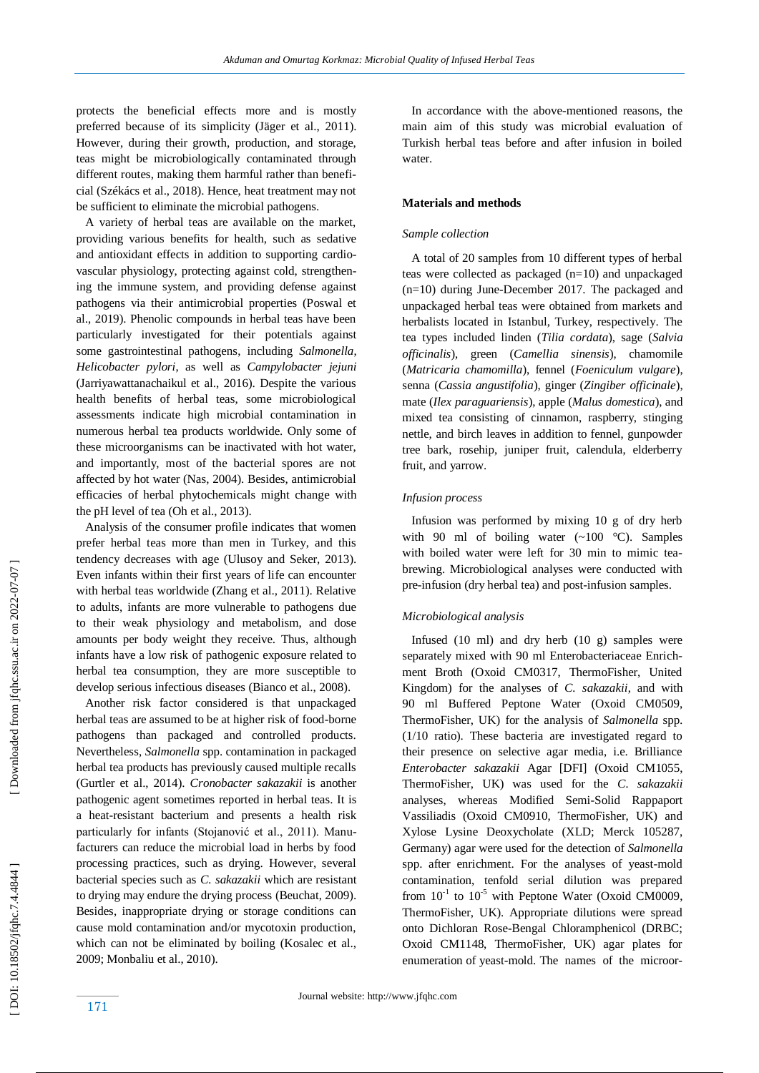protects the beneficial effects more and is mostly preferred because of its simplicity (Jäger et al., 2011). However, during their growth, production, and storage, teas might be microbiologically contaminated through different routes, making them harmful rather than beneficial (Székács et al., 2018). Hence, heat treatment may not be sufficient to eliminate the microbial pathogens.

 A variety of herbal teas are available on the market, providing various benefits for health, such as sedative and antioxidant effects in addition to supporting cardiovascular physiology, protecting against cold, strengthening the immune system, and providing defense against pathogens via their antimicrobial properties (Poswal et al., 2019). Phenolic compounds in herbal teas have been particularly investigated for their potentials against some gastrointestinal pathogens, including *Salmonella*, *Helicobacter pylori*, as well as *Campylobacter jejuni* (Jarriyawattanachaikul et al., 2016). Despite the various health benefits of herbal teas, some microbiological assessments indicate high microbial contamination in numerous herbal tea products worldwide. Only some of these microorganisms can be inactivated with hot water, and importantly, most of the bacterial spores are not affected by hot water (Nas, 2004). Besides, antimicrobial efficacies of herbal phytochemicals might change with the pH level of tea (Oh et al., 2013).

 Analysis of the consumer profile indicates that women prefer herbal teas more than men in Turkey, and this tendency decreases with age (Ulusoy and Seker, 2013). Even infants within their first years of life can encounter with herbal teas worldwide (Zhang et al., 2011). Relative to adults, infants are more vulnerable to pathogens due to their weak physiology and metabolism, and dose amounts per body weight they receive. Thus, although infants have a low risk of pathogenic exposure related to herbal tea consumption, they are more susceptible to develop serious infectious diseases (Bianco et al., 2008).

 Another risk factor considered is that unpackaged herbal teas are assumed to be at higher risk of food -borne pathogens than packaged and controlled products. Nevertheless, *Salmonella* spp. contamination in packaged herbal tea products has previously caused multiple recalls (Gurtler et al., 2014). *Cronobacter sakazakii* is another pathogenic agent sometimes reported in herbal teas. It is a heat -resistant bacterium and presents a health risk particularly for infants (Stojanović et al., 2011). Manufacturers can reduce the microbial load in herbs by food processing practices, such as drying. However, several bacterial species such as *C. sakazakii* which are resistant to drying may endure the drying process (Beuchat, 2009). Besides, inappropriate drying or storage conditions can cause mold contamination and/or mycotoxin production, which can not be eliminated by boiling (Kosalec et al., 2009; Monbaliu et al., 2010).

 In accordance with the above -mentioned reasons, the main aim of this study was microbial evaluation of Turkish herbal teas before and after infusion in boiled water.

## **Materials and methods**

## *Sample collection*

 A total of 20 samples from 10 different types of herbal teas were collected as packaged (n=10) and unpackaged (n=10) during June -December 2017. The packaged and unpackaged herbal teas were obtained from markets and herbalists located in Istanbul, Turkey, respectively. The tea types included linden (*Tilia cordata*), sage (*Salvia officinalis*), green (*Camellia sinensis*), chamomile (*Matricaria chamomilla*), fennel (*Foeniculum vulgare*), senna (*Cassia angustifolia*), ginger (*Zingiber officinale*), mate (*Ilex paraguariensis*), apple (*Malus domestica*), and mixed tea consisting of cinnamon, raspberry, stinging nettle, and birch leaves in addition to fennel, gunpowder tree bark, rosehip, juniper fruit, calendula, elderberry fruit, and yarrow.

## *Infusion proces s*

 Infusion was performed by mixing 10 g of dry herb with 90 ml of boiling water  $(-100 \degree C)$ . Samples with boiled water were left for 30 min to mimic tea brewing. Microbiological analyses were conducted with pre -infusion (dry herbal tea) and post -infusion samples.

## *Microbiological analysis*

Infused  $(10 \text{ ml})$  and dry herb  $(10 \text{ g})$  samples were separately mixed with 90 ml Enterobacteriaceae Enrichment Broth (Oxoid CM0317, ThermoFisher, United Kingdom) for the analyses of *C. sakazakii*, and with 90 ml Buffered Peptone Water (Oxoid CM0509, ThermoFisher, UK) for the analysis of *Salmonella* sp p*.*  (1/10 ratio). These bacteria are investigated regard to their presence on selective agar media, i.e. Brilliance *Enterobacter sakazakii* Agar [DFI] (Oxoid CM1055, ThermoFisher, UK) was used for the *C. sakazakii* analyses, whereas Modified Semi -Solid Rappaport Vassiliadis (Oxoid CM0910, ThermoFisher, UK) and Xylose Lysine Deoxycholate (XLD; Merck 105287, Germany) agar were used for the detection of *Salmonella* spp. after enrichment. For the analyses of yeast -mold contamination, tenfold serial dilution was prepared from  $10^{-1}$  to  $10^{-5}$  with Peptone Water (Oxoid CM0009, ThermoFisher, UK). Appropriate dilutions were spread onto Dichloran Rose -Bengal Chloramphenicol (DRBC; Oxoid CM1148, ThermoFisher, UK) agar plates for enumeration of yeast -mold. The names of the microor -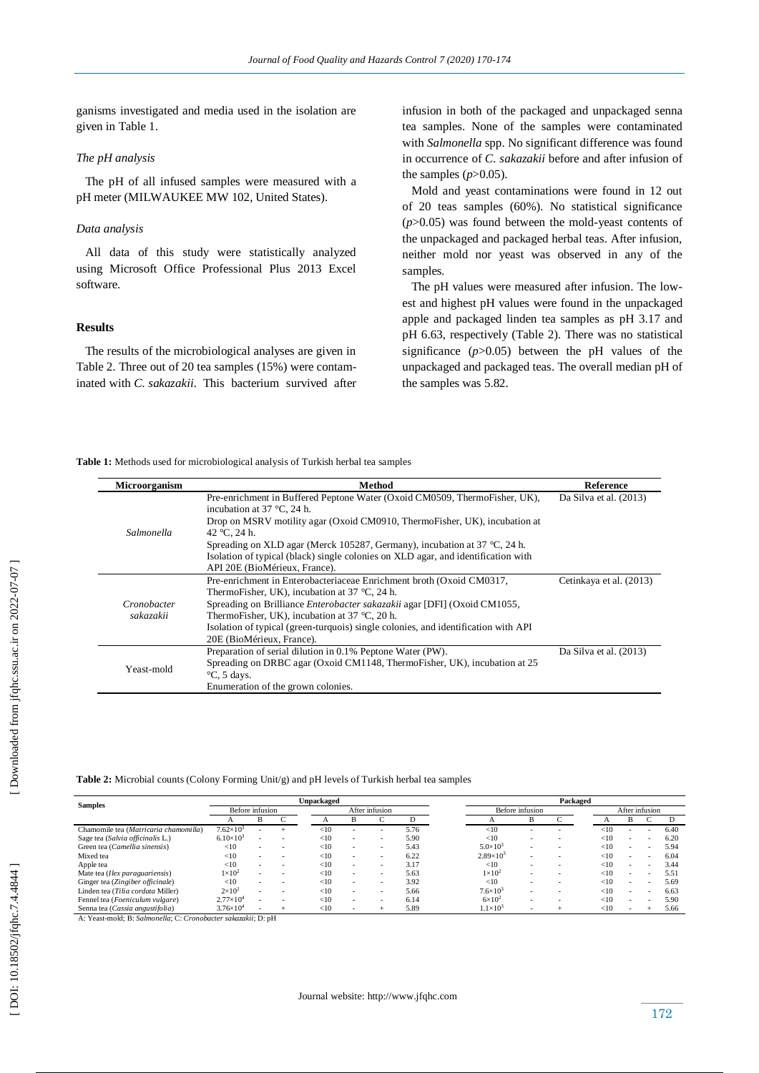ganisms investigated and media used in the isolation are given in Table 1.

# *The pH analysis*

 The pH of all infused samples were measured with a pH meter (MILWAUKEE MW 102, United States).

# *Data analysis*

 All data of this study were statistically analyzed using Microsoft Office Professional Plus 2013 Excel software.

# **Results**

 The results of the microbiological analyses are given in Table 2. Three out of 20 tea samples (15%) were contaminated with *C. sakazakii*. This bacterium survived after infusion in both of the packaged and unpackaged senna tea samples. None of the samples were contaminated with *Salmonella* spp. No significant difference was found in occurrence of *C. sakazakii* before and after infusion of the samples  $(p>0.05)$ .

 Mold and yeast contaminations were found in 12 out of 20 teas samples (60%). No statistical significance (*p*>0.05) was found between the mold-yeast contents of the unpackaged and packaged herbal teas. After infusion, neither mold nor yeast was observed in any of the samples.

 The pH values were measured after infusion. The lowest and highest pH values were found in the unpackaged apple and packaged linden tea samples as pH 3.17 and pH 6.63, respectively (Table 2). There was no statistical significance  $(p>0.05)$  between the pH values of the unpackaged and packaged teas. The overall median pH of the samples was 5.82.

**Table 1:** Methods used for microbiological analysis of Turkish herbal tea samples

| <b>Microorganism</b>     | Method                                                                                                            | Reference                |
|--------------------------|-------------------------------------------------------------------------------------------------------------------|--------------------------|
|                          |                                                                                                                   |                          |
| Salmonella               | Pre-enrichment in Buffered Peptone Water (Oxoid CM0509, ThermoFisher, UK),<br>incubation at $37^{\circ}$ C, 24 h. | Da Silva et al. $(2013)$ |
|                          | Drop on MSRV motility agar (Oxoid CM0910, ThermoFisher, UK), incubation at                                        |                          |
|                          | 42 °C, 24 h.                                                                                                      |                          |
|                          | Spreading on XLD agar (Merck 105287, Germany), incubation at 37 °C, 24 h.                                         |                          |
|                          | Isolation of typical (black) single colonies on XLD agar, and identification with                                 |                          |
|                          | API 20E (BioMérieux, France).                                                                                     |                          |
| Cronobacter<br>sakazakii | Pre-enrichment in Enterobacteriaceae Enrichment broth (Oxoid CM0317,                                              | Cetinkaya et al. (2013)  |
|                          | ThermoFisher, UK), incubation at $37^{\circ}$ C, 24 h.                                                            |                          |
|                          | Spreading on Brilliance <i>Enterobacter sakazakii</i> agar [DFI] (Oxoid CM1055,                                   |                          |
|                          | ThermoFisher, UK), incubation at $37^{\circ}$ C, 20 h.                                                            |                          |
|                          | Isolation of typical (green-turquois) single colonies, and identification with API                                |                          |
|                          | 20E (BioMérieux, France).                                                                                         |                          |
| Yeast-mold               | Preparation of serial dilution in 0.1% Peptone Water (PW).                                                        | Da Silva et al. $(2013)$ |
|                          | Spreading on DRBC agar (Oxoid CM1148, ThermoFisher, UK), incubation at 25                                         |                          |
|                          | $\mathrm{C}$ , 5 days.                                                                                            |                          |
|                          | Enumeration of the grown colonies.                                                                                |                          |

**Table 2:** Microbial counts (Colony Forming Unit/g) and pH levels of Turkish herbal tea samples

| <b>Samples</b>                        | Unpackaged         |   |  |                |                          |   | Packaged        |                    |   |  |                |        |                          |   |      |
|---------------------------------------|--------------------|---|--|----------------|--------------------------|---|-----------------|--------------------|---|--|----------------|--------|--------------------------|---|------|
|                                       | Before infusion    |   |  | After infusion |                          |   | Before infusion |                    |   |  | After infusion |        |                          |   |      |
|                                       |                    | B |  |                | B                        |   |                 |                    | B |  |                |        | B                        |   |      |
| Chamomile tea (Matricaria chamomilla) | $7.62\times10^3$   |   |  | $<$ 10         |                          |   | 5.76            | <10                |   |  |                | $<$ 10 |                          |   | 6.40 |
| Sage tea (Salvia officinalis L.)      | $6.10\times10^{3}$ |   |  | $<$ 10         | $\overline{\phantom{a}}$ |   | 5.90            | <10                |   |  |                | $<$ 10 |                          | ۰ | 6.20 |
| Green tea (Camellia sinensis)         | <10                |   |  | ${<}10$        | $\overline{\phantom{a}}$ | ۰ | 5.43            | $5.0 \times 10^3$  | ۰ |  |                | $<$ 10 | $\overline{\phantom{0}}$ | ۰ | 5.94 |
| Mixed tea                             | <10                |   |  | ${<}10$        | $\overline{\phantom{a}}$ | ۰ | 6.22            | $2.89\times10^{3}$ | ۰ |  |                | < 10   | $\overline{\phantom{0}}$ | - | 6.04 |
| Apple tea                             | <10                |   |  | $<$ 10         | $\overline{\phantom{a}}$ | ۰ | 3.17            | <10                |   |  |                | <10    | $\overline{\phantom{0}}$ | ۰ | 3.44 |
| Mate tea (Ilex paraguariensis)        | $1\times10^2$      |   |  | $<$ 10         | $\overline{\phantom{a}}$ | ۰ | 5.63            | $1\times10^2$      | ۰ |  |                | <10    | $\overline{\phantom{a}}$ | - | 5.51 |
| Ginger tea (Zingiber officinale)      | <10                |   |  | $<$ 10         | $\overline{\phantom{a}}$ |   | 3.92            | <10                |   |  |                | $<$ 10 |                          | ۰ | 5.69 |
| Linden tea (Tilia cordata Miller)     | $2\times10^2$      |   |  | <10            | $\overline{\phantom{a}}$ | ۰ | 5.66            | $7.6 \times 10^3$  |   |  |                | <10    |                          | ۰ | 6.63 |
| Fennel tea (Foeniculum vulgare)       | $2.77\times10^{4}$ |   |  | <10            |                          | ۰ | 6.14            | $6\times10^2$      |   |  |                | <10    |                          | ۰ | 5.90 |
| Senna tea (Cassia angustifolia)       | $3.76\times10^{4}$ |   |  | $<$ 10         | $\overline{\phantom{a}}$ |   | 5.89            | $1.1\times10^{3}$  |   |  |                | $<$ 10 |                          |   | 5.66 |

Senna tea (*Cassia angustifolia* ) 3.76×10 - A: Yeast -mold; B: *Salmonella*; C: *Cronobacter sakazakii*; D: pH

[Downloaded from jfqhc.ssu.ac.ir on 2022-07-07]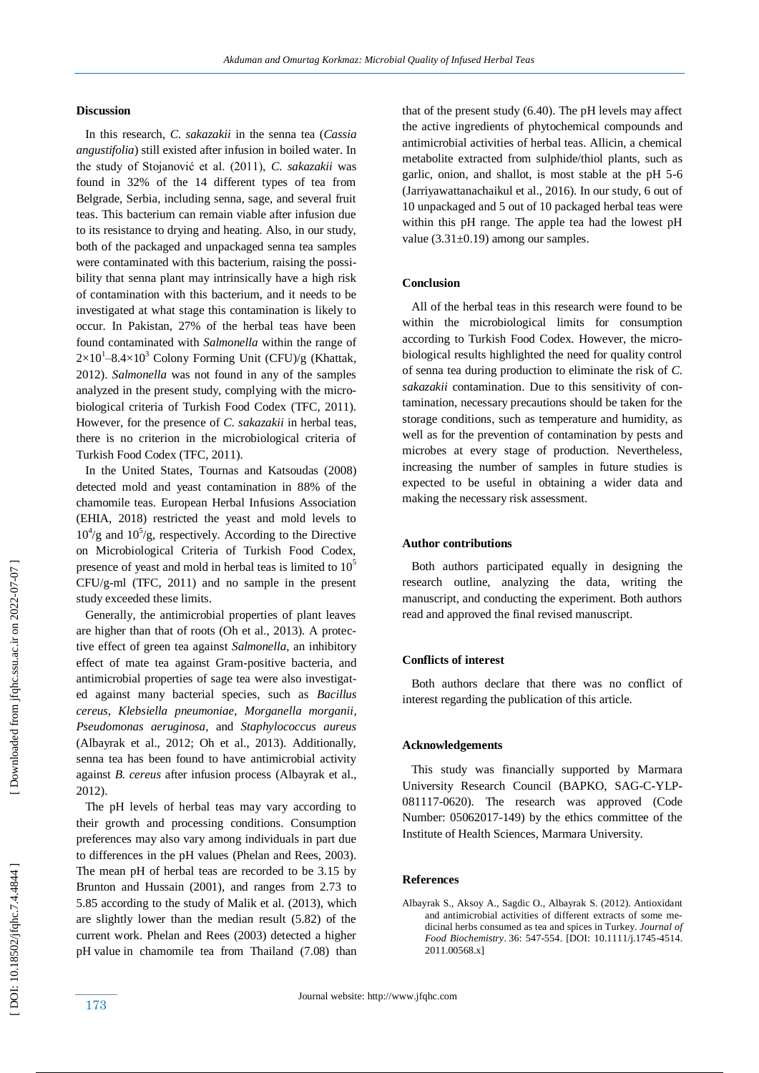## **Discussion**

 In this research, *C. sakazakii* in the senna tea (*Cassia angustifolia*) still existed after infusion in boiled water. In the study of Stojanović et al. (2011), *C. sakazakii* was found in 32% of the 14 different types of tea from Belgrade, Serbia, including senna, sage, and several fruit teas. This bacterium can remain viable after infusion due to its resistance to drying and heating. Also, in our study, both of the packaged and unpackaged senna tea samples were contaminated with this bacterium, raising the possibility that senna plant may intrinsically have a high risk of contamination with this bacterium, and it needs to be investigated at what stage this contamination is likely to occur. In Pakistan, 27% of the herbal teas have been found contaminated with *Salmonella* within the range of  $2\times10^{1}-8.4\times10^{3}$  Colony Forming Unit (CFU)/g (Khattak, 2012). *Salmonella* was not found in any of the samples analyzed in the present study, complying with the microbiological criteria of Turkish Food Codex (TFC, 2011). However, for the presence of *C. sakazakii* in herbal teas, there is no criterion in the microbiological criteria of Turkish Food Codex (TFC, 2011).

 In the United States, Tournas and Katsoudas (2008) detected mold and yeast contamination in 88% of the chamomile teas. European Herbal Infusion s Association (EHIA, 2018) restricted the yeast and mold levels to  $10^4$ /g and  $10^5$ /g, respectively. According to the Directive on Microbiological Criteria of Turkish Food Codex, presence of yeast and mold in herbal teas is limited to  $10<sup>5</sup>$ CFU/g -ml (TFC, 2011) and no sample in the present study exceeded these limits.

 Generally, the antimicrobial properties of plant leaves are higher than that of roots (Oh et al., 2013). A protective effect of green tea against *Salmonella*, an inhibitory effect of mate tea against Gram -positive bacteria, and antimicrobial properties of sage tea were also investigated against many bacterial species, such as *Bacillus cereus, Klebsiella pneumoniae, Morganella morganii, Pseudomonas aeruginosa,* and *Staphylococcus aureus* (Albayrak et al., 2012; Oh et al., 2013). Additionally, senna tea has been found to have antimicrobial activity against *B. cereus* after infusion process (Albayrak et al., 2012).

 The pH levels of herbal teas may vary according to their growth and processing conditions. Consumption preferences may also vary among individuals in part due to differences in the pH values (Phelan and Rees, 2003). The mean pH of herbal teas are recorded to be 3.15 by Brunton and Hussain (2001), and ranges from 2.73 to 5.85 according to the study of Malik et al. (2013), which are slightly lower than the median result (5.82) of the current work. Phelan and Rees (2003) detected a higher pH value in chamomile tea from Thailand (7.08) than that of the present study (6.40). The pH levels may affect the active ingredients of phytochemical compounds and antimicrobial activities of herbal teas. Allicin, a chemical metabolite extracted from sulphide/thiol plants, such as garlic, onion, and shallot, is most stable at the pH 5-6 (Jarriyawattanachaikul et al., 2016). In our study, 6 out of 10 unpackaged and 5 out of 10 packaged herbal teas were within this pH range. The apple tea had the lowest pH value  $(3.31\pm0.19)$  among our samples.

## **Conclusion**

 All of the herbal teas in this research were found to be within the microbiological limits for consumption according to Turkish Food Codex. However, the microbiological results highlighted the need for quality control of senna tea during production to eliminate the risk of *C. sakazakii* contamination. Due to this sensitivity of contamination, necessary precautions should be taken for the storage conditions, such as temperature and humidity, as well as for the prevention of contamination by pests and microbes at every stage of production. Nevertheless, increasing the number of samples in future studies is expected to be useful in obtaining a wider data and making the necessary risk assessment.

# **Author contributions**

 Both authors participated equally in designing the research outline, analyzing the data, writing the manuscript, and conducting the experiment. Both authors read and approved the final revised manuscript.

#### **Conflicts of interest**

 Both authors declare that there was no conflict of interest regarding the publication of this article.

#### **Acknowledgements**

 This study was financially supported by Marmara University Research Council (BAPKO, SAG-C-YLP-081117 -0620). The research was approved (Code Number: 05062017 -149) by the ethics committee of the Institute of Health Sciences, Marmara University.

#### **Reference s**

Albayrak S., Aksoy A., Sagdic O., Albayrak S. (2012). Antioxidant and antimicrobial activities of different extracts of some medicinal herbs consumed as tea and spices in Turkey. *Journal of Food Biochemistry* . 36: 547 -554. [DOI: 10.1111/j.1745 -4514. 2011.00568.x]